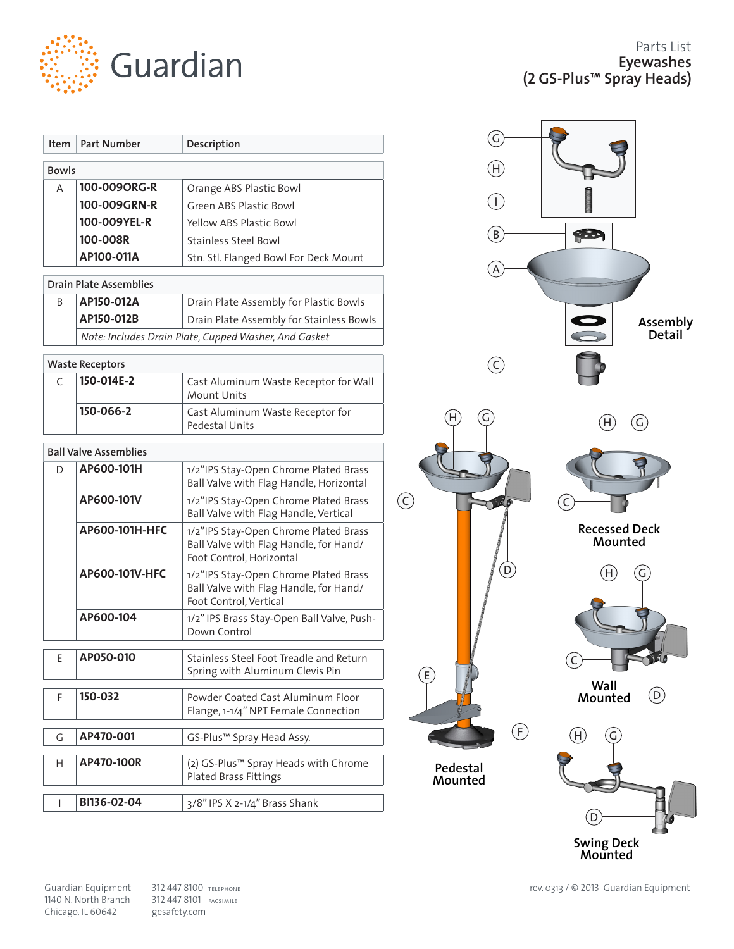

| Item         | <b>Part Number</b> | Description                           |
|--------------|--------------------|---------------------------------------|
| <b>Bowls</b> |                    |                                       |
| A            | 100-009ORG-R       | Orange ABS Plastic Bowl               |
|              | 100-009GRN-R       | Green ABS Plastic Bowl                |
|              | 100-009YEL-R       | <b>Yellow ABS Plastic Bowl</b>        |
|              | 100-008R           | Stainless Steel Bowl                  |
|              | AP100-011A         | Stn. Stl. Flanged Bowl For Deck Mount |

| <b>Drain Plate Assemblies</b> |                                                       |                                          |  |
|-------------------------------|-------------------------------------------------------|------------------------------------------|--|
|                               | AP150-012A                                            | Drain Plate Assembly for Plastic Bowls   |  |
|                               | AP150-012B                                            | Drain Plate Assembly for Stainless Bowls |  |
|                               | Note: Includes Drain Plate, Cupped Washer, And Gasket |                                          |  |

## **Waste Receptors**

| 150-014E-2 | Cast Aluminum Waste Receptor for Wall<br>Mount Units |  |
|------------|------------------------------------------------------|--|
| 150-066-2  | Cast Aluminum Waste Receptor for<br>Pedestal Units   |  |

## **Ball Valve Assemblies**

| D. | AP600-101H     | 1/2"IPS Stay-Open Chrome Plated Brass<br>Ball Valve with Flag Handle, Horizontal                            |
|----|----------------|-------------------------------------------------------------------------------------------------------------|
|    | AP600-101V     | 1/2"IPS Stay-Open Chrome Plated Brass<br>Ball Valve with Flag Handle, Vertical                              |
|    | AP600-101H-HFC | 1/2"IPS Stay-Open Chrome Plated Brass<br>Ball Valve with Flag Handle, for Hand/<br>Foot Control, Horizontal |
|    | AP600-101V-HFC | 1/2"IPS Stay-Open Chrome Plated Brass<br>Ball Valve with Flag Handle, for Hand/<br>Foot Control, Vertical   |
|    | AP600-104      | 1/2" IPS Brass Stay-Open Ball Valve, Push-<br>Down Control                                                  |
|    |                |                                                                                                             |
| F  | AP050-010      | Stainless Steel Foot Treadle and Return<br>Spring with Aluminum Clevis Pin                                  |
|    |                |                                                                                                             |
| F  | 150-032        | Powder Coated Cast Aluminum Floor                                                                           |
|    |                | Flange, 1-1/4" NPT Female Connection                                                                        |
|    |                |                                                                                                             |
| G  | AP470-001      | GS-Plus™ Spray Head Assy.                                                                                   |
|    |                |                                                                                                             |
| H  | AP470-100R     | (2) GS-Plus™ Spray Heads with Chrome                                                                        |
|    |                | Plated Brass Fittings                                                                                       |
|    |                |                                                                                                             |
|    | BI136-02-04    | 3/8" IPS X 2-1/4" Brass Shank                                                                               |
|    |                |                                                                                                             |